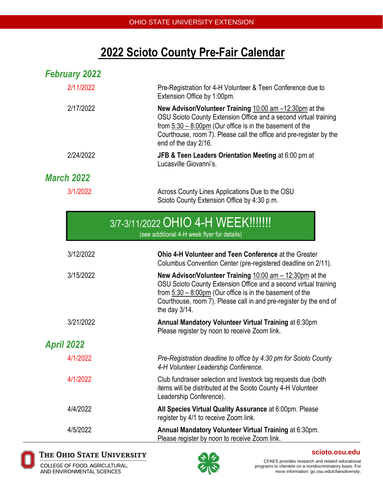# **2022 Scioto County Pre-Fair Calendar**

| <b>February 2022</b> |                                                                                                                                                                                                                                                                                                |
|----------------------|------------------------------------------------------------------------------------------------------------------------------------------------------------------------------------------------------------------------------------------------------------------------------------------------|
| 2/11/2022            | Pre-Registration for 4-H Volunteer & Teen Conference due to<br>Extension Office by 1:00pm.                                                                                                                                                                                                     |
| 2/17/2022            | New Advisor/Volunteer Training $10:00$ am $-12:30$ pm at the<br>OSU Scioto County Extension Office and a second virtual training<br>from $5:30 - 8:00$ pm (Our office is in the basement of the<br>Courthouse, room 7). Please call the office and pre-register by the<br>end of the day 2/16. |
| 2/24/2022            | JFB & Teen Leaders Orientation Meeting at 6:00 pm at<br>Lucasville Giovanni's.                                                                                                                                                                                                                 |
| <b>March 2022</b>    |                                                                                                                                                                                                                                                                                                |
| 3/1/2022             | Across County Lines Applications Due to the OSU<br>Scioto County Extension Office by 4:30 p.m.                                                                                                                                                                                                 |

| 3/7-3/11/2022 OHIO 4-H WEEK!!!!!!!          |  |
|---------------------------------------------|--|
| (can additional 1 H wook flyor for dataile) |  |

(see additional 4-H week flyer for details)

| 3/12/2022         | Ohio 4-H Volunteer and Teen Conference at the Greater<br>Columbus Convention Center (pre-registered deadline on 2/11).                                                                                                                                                                              |
|-------------------|-----------------------------------------------------------------------------------------------------------------------------------------------------------------------------------------------------------------------------------------------------------------------------------------------------|
| 3/15/2022         | <b>New Advisor/Volunteer Training 10:00 am - 12:30pm at the</b><br>OSU Scioto County Extension Office and a second virtual training<br>from $5:30 - 8:00 \text{pm}$ (Our office is in the basement of the<br>Courthouse, room 7). Please call in and pre-register by the end of<br>the day $3/14$ . |
| 3/21/2022         | Annual Mandatory Volunteer Virtual Training at 6:30pm<br>Please register by noon to receive Zoom link.                                                                                                                                                                                              |
| <b>April 2022</b> |                                                                                                                                                                                                                                                                                                     |
| 4/1/2022          | Pre-Registration deadline to office by 4:30 pm for Scioto County<br>4-H Volunteer Leadership Conference.                                                                                                                                                                                            |
| 4/1/2022          | Club fundraiser selection and livestock tag requests due (both<br>items will be distributed at the Scioto County 4-H Volunteer<br>Leadership Conference).                                                                                                                                           |
| 4/4/2022          | All Species Virtual Quality Assurance at 6:00pm. Please<br>register by 4/1 to receive Zoom link.                                                                                                                                                                                                    |
| 4/5/2022          | Annual Mandatory Volunteer Virtual Training at 6:30pm.<br>Please register by noon to receive Zoom link.                                                                                                                                                                                             |



#### THE OHIO STATE UNIVERSITY

COLLEGE OF FOOD, AGRICULTURAL, AND ENVIRONMENTAL SCIENCES



CFAES provides research and related educational programs to clientele on a nondiscriminatory basis. For more information: go.osu.edu/cfaesdiversity.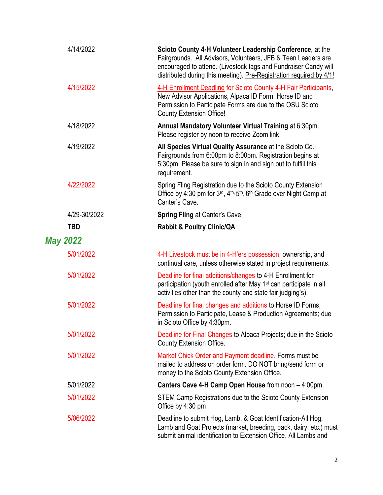| 4/14/2022       | Scioto County 4-H Volunteer Leadership Conference, at the<br>Fairgrounds. All Advisors, Volunteers, JFB & Teen Leaders are<br>encouraged to attend. (Livestock tags and Fundraiser Candy will<br>distributed during this meeting). Pre-Registration required by 4/1! |
|-----------------|----------------------------------------------------------------------------------------------------------------------------------------------------------------------------------------------------------------------------------------------------------------------|
| 4/15/2022       | 4-H Enrollment Deadline for Scioto County 4-H Fair Participants,<br>New Advisor Applications, Alpaca ID Form, Horse ID and<br>Permission to Participate Forms are due to the OSU Scioto<br><b>County Extension Office!</b>                                           |
| 4/18/2022       | Annual Mandatory Volunteer Virtual Training at 6:30pm.<br>Please register by noon to receive Zoom link.                                                                                                                                                              |
| 4/19/2022       | All Species Virtual Quality Assurance at the Scioto Co.<br>Fairgrounds from 6:00pm to 8:00pm. Registration begins at<br>5:30pm. Please be sure to sign in and sign out to fulfill this<br>requirement.                                                               |
| 4/22/2022       | Spring Fling Registration due to the Scioto County Extension<br>Office by 4:30 pm for 3rd, 4th, 5th, 6th Grade over Night Camp at<br>Canter's Cave.                                                                                                                  |
| 4/29-30/2022    | <b>Spring Fling at Canter's Cave</b>                                                                                                                                                                                                                                 |
| <b>TBD</b>      | <b>Rabbit &amp; Poultry Clinic/QA</b>                                                                                                                                                                                                                                |
| <b>May 2022</b> |                                                                                                                                                                                                                                                                      |
| 5/01/2022       | 4-H Livestock must be in 4-H'ers possession, ownership, and<br>continual care, unless otherwise stated in project requirements.                                                                                                                                      |
| 5/01/2022       | Deadline for final additions/changes to 4-H Enrollment for<br>participation (youth enrolled after May 1 <sup>st</sup> can participate in all<br>activities other than the county and state fair judging's).                                                          |
| 5/01/2022       | Deadline for final changes and additions to Horse ID Forms,<br>Permission to Participate, Lease & Production Agreements; due<br>in Scioto Office by 4:30pm.                                                                                                          |
| 5/01/2022       | Deadline for Final Changes to Alpaca Projects; due in the Scioto<br><b>County Extension Office.</b>                                                                                                                                                                  |
| 5/01/2022       | Market Chick Order and Payment deadline. Forms must be<br>mailed to address on order form. DO NOT bring/send form or<br>money to the Scioto County Extension Office.                                                                                                 |
| 5/01/2022       | Canters Cave 4-H Camp Open House from noon - 4:00pm.                                                                                                                                                                                                                 |
| 5/01/2022       | STEM Camp Registrations due to the Scioto County Extension<br>Office by 4:30 pm                                                                                                                                                                                      |
| 5/06/2022       | Deadline to submit Hog, Lamb, & Goat Identification-All Hog,<br>Lamb and Goat Projects (market, breeding, pack, dairy, etc.) must<br>submit animal identification to Extension Office. All Lambs and                                                                 |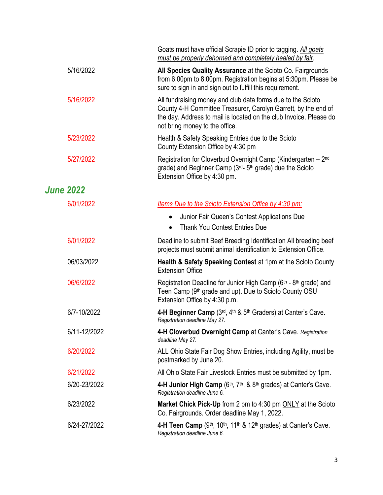|                  |              | Goats must have official Scrapie ID prior to tagging. All goats<br>must be properly dehorned and completely healed by fair.                                                                                                           |
|------------------|--------------|---------------------------------------------------------------------------------------------------------------------------------------------------------------------------------------------------------------------------------------|
|                  | 5/16/2022    | All Species Quality Assurance at the Scioto Co. Fairgrounds<br>from 6:00pm to 8:00pm. Registration begins at 5:30pm. Please be<br>sure to sign in and sign out to fulfill this requirement.                                           |
|                  | 5/16/2022    | All fundraising money and club data forms due to the Scioto<br>County 4-H Committee Treasurer, Carolyn Garrett, by the end of<br>the day. Address to mail is located on the club Invoice. Please do<br>not bring money to the office. |
|                  | 5/23/2022    | Health & Safety Speaking Entries due to the Scioto<br>County Extension Office by 4:30 pm                                                                                                                                              |
|                  | 5/27/2022    | Registration for Cloverbud Overnight Camp (Kindergarten - 2 <sup>nd</sup><br>grade) and Beginner Camp (3rd- 5th grade) due the Scioto<br>Extension Office by 4:30 pm.                                                                 |
| <b>June 2022</b> |              |                                                                                                                                                                                                                                       |
|                  | 6/01/2022    | Items Due to the Scioto Extension Office by 4:30 pm;                                                                                                                                                                                  |
|                  |              | Junior Fair Queen's Contest Applications Due<br>$\bullet$<br><b>Thank You Contest Entries Due</b><br>$\bullet$                                                                                                                        |
|                  | 6/01/2022    | Deadline to submit Beef Breeding Identification All breeding beef<br>projects must submit animal identification to Extension Office.                                                                                                  |
|                  | 06/03/2022   | <b>Health &amp; Safety Speaking Contest at 1pm at the Scioto County</b><br><b>Extension Office</b>                                                                                                                                    |
|                  | 06/6/2022    | Registration Deadline for Junior High Camp (6th - 8th grade) and<br>Teen Camp (9 <sup>th</sup> grade and up). Due to Scioto County OSU<br>Extension Office by 4:30 p.m.                                                               |
|                  | 6/7-10/2022  | 4-H Beginner Camp (3rd, 4th & 5th Graders) at Canter's Cave.<br>Registration deadline May 27.                                                                                                                                         |
|                  | 6/11-12/2022 | 4-H Cloverbud Overnight Camp at Canter's Cave. Registration<br>deadline May 27.                                                                                                                                                       |
|                  | 6/20/2022    | ALL Ohio State Fair Dog Show Entries, including Agility, must be<br>postmarked by June 20.                                                                                                                                            |
|                  | 6/21/2022    | All Ohio State Fair Livestock Entries must be submitted by 1pm.                                                                                                                                                                       |
|                  | 6/20-23/2022 | 4-H Junior High Camp $(6th, 7th, 8, 8th$ grades) at Canter's Cave.<br>Registration deadline June 6.                                                                                                                                   |
|                  | 6/23/2022    | Market Chick Pick-Up from 2 pm to 4:30 pm ONLY at the Scioto<br>Co. Fairgrounds. Order deadline May 1, 2022.                                                                                                                          |
|                  | 6/24-27/2022 | 4-H Teen Camp $(9th, 10th, 11th$ & 12 <sup>th</sup> grades) at Canter's Cave.<br>Registration deadline June 6.                                                                                                                        |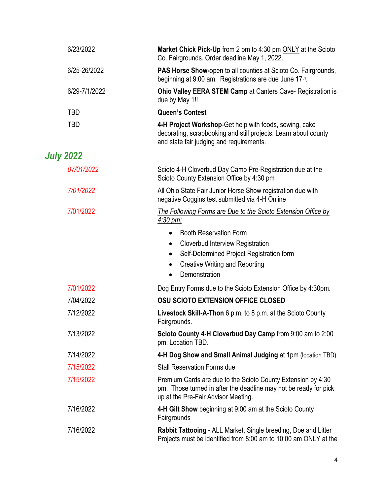| 6/23/2022        | Market Chick Pick-Up from 2 pm to 4:30 pm ONLY at the Scioto<br>Co. Fairgrounds. Order deadline May 1, 2022.                                                                                                                              |
|------------------|-------------------------------------------------------------------------------------------------------------------------------------------------------------------------------------------------------------------------------------------|
| 6/25-26/2022     | <b>PAS Horse Show-open to all counties at Scioto Co. Fairgrounds,</b><br>beginning at 9:00 am. Registrations are due June 17th.                                                                                                           |
| 6/29-7/1/2022    | Ohio Valley EERA STEM Camp at Canters Cave- Registration is<br>due by May 1!!                                                                                                                                                             |
| TBD              | <b>Queen's Contest</b>                                                                                                                                                                                                                    |
| TBD              | 4-H Project Workshop-Get help with foods, sewing, cake<br>decorating, scrapbooking and still projects. Learn about county<br>and state fair judging and requirements.                                                                     |
| <b>July 2022</b> |                                                                                                                                                                                                                                           |
| 07/01/2022       | Scioto 4-H Cloverbud Day Camp Pre-Registration due at the<br>Scioto County Extension Office by 4:30 pm                                                                                                                                    |
| 7/01/2022        | All Ohio State Fair Junior Horse Show registration due with<br>negative Coggins test submitted via 4-H Online                                                                                                                             |
| 7/01/2022        | The Following Forms are Due to the Scioto Extension Office by<br>$4:30 \text{ pm}$ :                                                                                                                                                      |
|                  | <b>Booth Reservation Form</b><br>$\bullet$<br>Cloverbud Interview Registration<br>$\bullet$<br>Self-Determined Project Registration form<br>$\bullet$<br><b>Creative Writing and Reporting</b><br>$\bullet$<br>Demonstration<br>$\bullet$ |
| 7/01/2022        | Dog Entry Forms due to the Scioto Extension Office by 4:30pm.                                                                                                                                                                             |
| 7/04/2022        | <b>OSU SCIOTO EXTENSION OFFICE CLOSED</b>                                                                                                                                                                                                 |
| 7/12/2022        | Livestock Skill-A-Thon 6 p.m. to 8 p.m. at the Scioto County<br>Fairgrounds.                                                                                                                                                              |
| 7/13/2022        | Scioto County 4-H Cloverbud Day Camp from 9:00 am to 2:00<br>pm. Location TBD.                                                                                                                                                            |
| 7/14/2022        | 4-H Dog Show and Small Animal Judging at 1pm (location TBD)                                                                                                                                                                               |
| 7/15/2022        | <b>Stall Reservation Forms due</b>                                                                                                                                                                                                        |
| 7/15/2022        | Premium Cards are due to the Scioto County Extension by 4:30<br>pm. Those turned in after the deadline may not be ready for pick<br>up at the Pre-Fair Advisor Meeting.                                                                   |
| 7/16/2022        | 4-H Gilt Show beginning at 9:00 am at the Scioto County<br>Fairgrounds                                                                                                                                                                    |
| 7/16/2022        | Rabbit Tattooing - ALL Market, Single breeding, Doe and Litter<br>Projects must be identified from 8:00 am to 10:00 am ONLY at the                                                                                                        |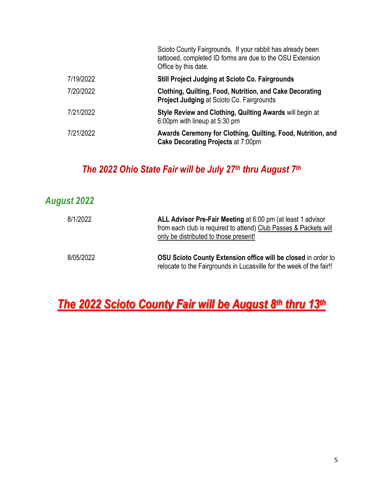|           | Scioto County Fairgrounds. If your rabbit has already been<br>tattooed, completed ID forms are due to the OSU Extension<br>Office by this date. |
|-----------|-------------------------------------------------------------------------------------------------------------------------------------------------|
| 7/19/2022 | <b>Still Project Judging at Scioto Co. Fairgrounds</b>                                                                                          |
| 7/20/2022 | Clothing, Quilting, Food, Nutrition, and Cake Decorating<br><b>Project Judging at Scioto Co. Fairgrounds</b>                                    |
| 7/21/2022 | Style Review and Clothing, Quilting Awards will begin at<br>6:00pm with lineup at 5:30 pm                                                       |
| 7/21/2022 | Awards Ceremony for Clothing, Quilting, Food, Nutrition, and<br><b>Cake Decorating Projects at 7:00pm</b>                                       |
|           |                                                                                                                                                 |

### *The 2022 Ohio State Fair will be July 27th thru August 7 th*

### *August 2022*

| 8/1/2022  | ALL Advisor Pre-Fair Meeting at 6:00 pm (at least 1 advisor<br>from each club is required to attend) Club Passes & Packets will<br>only be distributed to those present! |
|-----------|--------------------------------------------------------------------------------------------------------------------------------------------------------------------------|
| 8/05/2022 | OSU Scioto County Extension office will be closed in order to<br>relocate to the Fairgrounds in Lucasville for the week of the fair!!                                    |

## *The 2022 Scioto County Fair will be August 8th thru 13th*